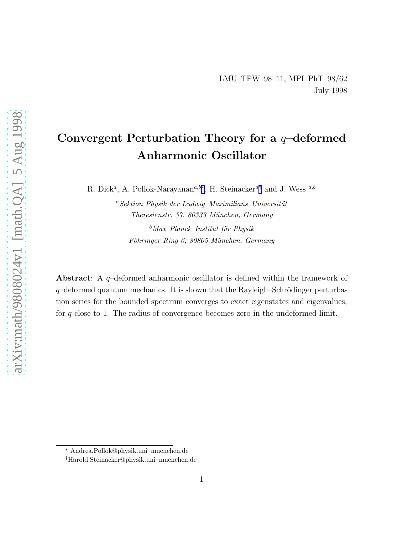# Convergent Perturbation Theory for a  $q$ -deformed Anharmonic Oscillator

R. Dick<sup>a</sup>, A. Pollok-Narayanan<sup>a,b∗</sup>, H. Steinacker<sup>a†</sup> and J. Wess <sup>a,b</sup>

 ${}^{a}Sektion$  Physik der Ludwig–Maximilians–Universität Theresienstr. 37, 80333 München, Germany

 $b$ Max–Planck–Institut für Physik Föhringer Ring 6, 80805 München, Germany

Abstract: A q–deformed anharmonic oscillator is defined within the framework of  $q$ –deformed quantum mechanics. It is shown that the Rayleigh–Schrödinger perturbation series for the bounded spectrum converges to exact eigenstates and eigenvalues, for  $q$  close to 1. The radius of convergence becomes zero in the undeformed limit.

<sup>∗</sup> Andrea.Pollok@physik.uni–muenchen.de

<sup>†</sup>Harold.Steinacker@physik.uni–muenchen.de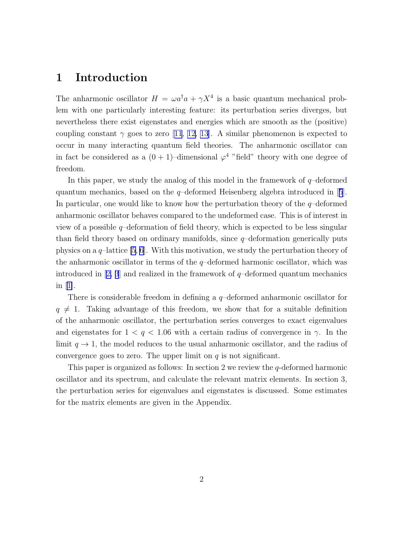## 1 Introduction

The anharmonic oscillator  $H = \omega a^{\dagger} a + \gamma X^4$  is a basic quantum mechanical problem with one particularly interesting feature: its perturbation series diverges, but nevertheless there exist eigenstates and energies which are smooth as the (positive) couplingconstant  $\gamma$  goes to zero [[11](#page-13-0), [12, 13](#page-13-0)]. A similar phenomenon is expected to occur in many interacting quantum field theories. The anharmonic oscillator can in fact be considered as a  $(0+1)$ -dimensional  $\varphi^4$  "field" theory with one degree of freedom.

In this paper, we study the analog of this model in the framework of  $q$ -deformed quantummechanics, based on the  $q$ -deformed Heisenberg algebra introduced in [[5](#page-12-0)]. In particular, one would like to know how the perturbation theory of the  $q$ -deformed anharmonic oscillator behaves compared to the undeformed case. This is of interest in view of a possible  $q$ -deformation of field theory, which is expected to be less singular than field theory based on ordinary manifolds, since  $q$ -deformation generically puts physics on a  $q$ –lattice [\[5](#page-12-0), [6\]](#page-13-0). With this motivation, we study the perturbation theory of the anharmonic oscillator in terms of the  $q$ -deformed harmonic oscillator, which was introducedin [[2, 3](#page-12-0)] and realized in the framework of  $q$ -deformed quantum mechanics in[[1\]](#page-12-0).

There is considerable freedom in defining a q–deformed anharmonic oscillator for  $q \neq 1$ . Taking advantage of this freedom, we show that for a suitable definition of the anharmonic oscillator, the perturbation series converges to exact eigenvalues and eigenstates for  $1 < q < 1.06$  with a certain radius of convergence in  $\gamma$ . In the limit  $q \to 1$ , the model reduces to the usual anharmonic oscillator, and the radius of convergence goes to zero. The upper limit on  $q$  is not significant.

This paper is organized as follows: In section 2 we review the q-deformed harmonic oscillator and its spectrum, and calculate the relevant matrix elements. In section 3, the perturbation series for eigenvalues and eigenstates is discussed. Some estimates for the matrix elements are given in the Appendix.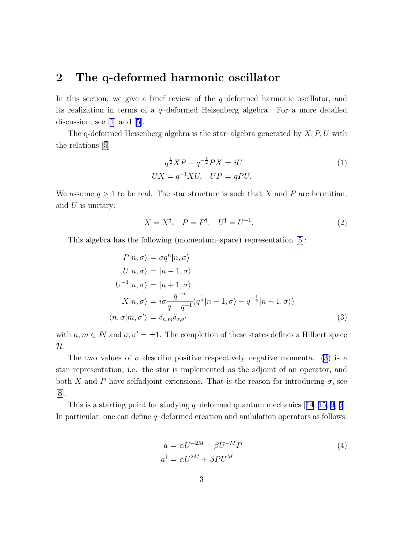### <span id="page-2-0"></span>2 The q-deformed harmonic oscillator

In this section, we give a brief review of the  $q$ -deformed harmonic oscillator, and its realization in terms of a q–deformed Heisenberg algebra. For a more detailed discussion, see [\[1](#page-12-0)] and [\[5](#page-12-0)].

The q-deformed Heisenberg algebra is the star–algebra generated by  $X, P, U$  with the relations[[5\]](#page-12-0)

$$
q^{\frac{1}{2}}XP - q^{-\frac{1}{2}}PX = iU
$$
  

$$
UX = q^{-1}XU, \quad UP = qPU.
$$
 (1)

We assume  $q > 1$  to be real. The star structure is such that X and P are hermitian, and  $U$  is unitary:

$$
X = X^{\dagger}, \quad P = P^{\dagger}, \quad U^{\dagger} = U^{-1}.
$$
 (2)

This algebra has the following (momentum–space) representation [\[5](#page-12-0)]:

$$
P|n, \sigma\rangle = \sigma q^n|n, \sigma\rangle
$$
  
\n
$$
U|n, \sigma\rangle = |n - 1, \sigma\rangle
$$
  
\n
$$
U^{-1}|n, \sigma\rangle = |n + 1, \sigma\rangle
$$
  
\n
$$
X|n, \sigma\rangle = i\sigma \frac{q^{-n}}{q - q^{-1}} (q^{\frac{1}{2}}|n - 1, \sigma\rangle - q^{-\frac{1}{2}}|n + 1, \sigma\rangle)
$$
  
\n
$$
\langle n, \sigma|m, \sigma'\rangle = \delta_{n,m}\delta_{\sigma,\sigma'}
$$
\n(3)

with  $n, m \in \mathbb{N}$  and  $\sigma, \sigma' = \pm 1$ . The completion of these states defines a Hilbert space  $\mathcal{H}.$ 

The two values of  $\sigma$  describe positive respectively negative momenta. (3) is a star–representation, i.e. the star is implemented as the adjoint of an operator, and both X and P have selfadjoint extensions. That is the reason for introducing  $\sigma$ , see [\[8](#page-13-0)].

Thisis a starting point for studying  $q$ -deformed quantum mechanics [[14](#page-13-0), [15, 9](#page-13-0), [5](#page-12-0)]. In particular, one can define  $q$ -deformed creation and anihilation operators as follows:

$$
a = \alpha U^{-2M} + \beta U^{-M} P
$$
  
\n
$$
a^{\dagger} = \bar{\alpha} U^{2M} + \bar{\beta} P U^{M}
$$
\n(4)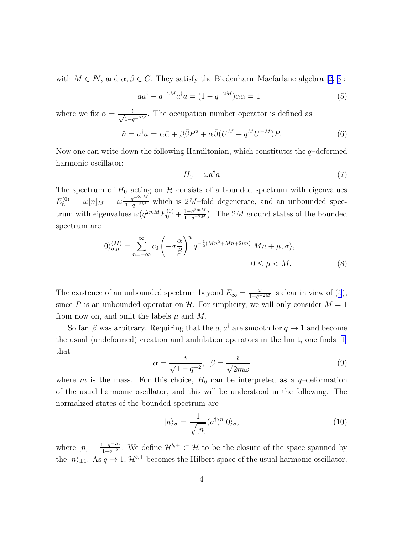with $M \in \mathbb{N}$ , and  $\alpha, \beta \in \mathbb{C}$ . They satisfy the Biedenharn–Macfarlane algebra [[2, 3\]](#page-12-0):

$$
aa^{\dagger} - q^{-2M}a^{\dagger}a = (1 - q^{-2M})\alpha\bar{\alpha} = 1
$$
\n<sup>(5)</sup>

where we fix  $\alpha = \frac{i}{\sqrt{1-i}}$  $\frac{i}{1-q^{-2M}}$ . The occupation number operator is defined as

$$
\hat{n} = a^{\dagger} a = \alpha \bar{\alpha} + \beta \bar{\beta} P^2 + \alpha \bar{\beta} (U^M + q^M U^{-M}) P. \tag{6}
$$

Now one can write down the following Hamiltonian, which constitutes the  $q$ -deformed harmonic oscillator:

$$
H_0 = \omega a^\dagger a \tag{7}
$$

The spectrum of  $H_0$  acting on  $H$  consists of a bounded spectrum with eigenvalues  $E_n^{(0)} = \omega[n]_M = \omega \frac{1-q^{-2nM}}{1-q^{-2M}}$  which is 2M-fold degenerate, and an unbounded spectrum with eigenvalues  $\omega(q^{2mM}E_0^{(0)} + \frac{1-q^{2mM}}{1-q^{-2M}})$ . The 2M ground states of the bounded spectrum are

$$
|0\rangle_{\sigma,\mu}^{(M)} = \sum_{n=-\infty}^{\infty} c_0 \left( -\sigma \frac{\alpha}{\beta} \right)^n q^{-\frac{1}{2}(Mn^2 + Mn + 2\mu n)} |Mn + \mu, \sigma\rangle,
$$
  

$$
0 \le \mu < M.
$$
 (8)

The existence of an unbounded spectrum beyond  $E_{\infty} = \frac{\omega}{1-q^{-2M}}$  is clear in view of [\(5](#page-2-0)), since P is an unbounded operator on H. For simplicity, we will only consider  $M = 1$ from now on, and omit the labels  $\mu$  and M.

So far,  $\beta$  was arbitrary. Requiring that the  $a, a^{\dagger}$  are smooth for  $q \to 1$  and become the usual (undeformed) creation and anihilation operators in the limit, one finds[[1\]](#page-12-0) that

$$
\alpha = \frac{i}{\sqrt{1 - q^{-2}}}, \quad \beta = \frac{i}{\sqrt{2m\omega}}\tag{9}
$$

where m is the mass. For this choice,  $H_0$  can be interpreted as a q-deformation of the usual harmonic oscillator, and this will be understood in the following. The normalized states of the bounded spectrum are

$$
|n\rangle_{\sigma} = \frac{1}{\sqrt{[n]}} (a^{\dagger})^n |0\rangle_{\sigma},\tag{10}
$$

where  $[n] = \frac{1-q^{-2n}}{1-q^{-2}}$ . We define  $\mathcal{H}^{b,\pm} \subset \mathcal{H}$  to be the closure of the space spanned by the  $|n\rangle_{\pm 1}$ . As  $q \to 1$ ,  $\mathcal{H}^{b,+}$  becomes the Hilbert space of the usual harmonic oscillator,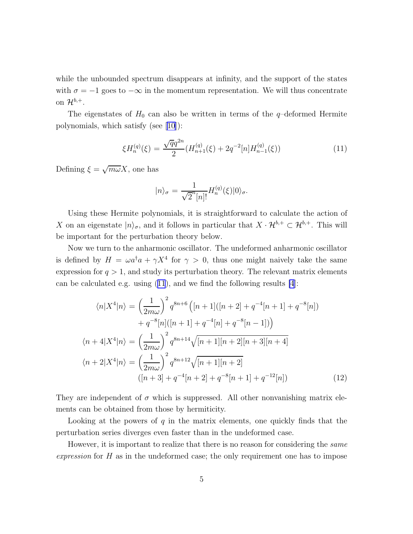<span id="page-4-0"></span>while the unbounded spectrum disappears at infinity, and the support of the states with  $\sigma = -1$  goes to  $-\infty$  in the momentum representation. We will thus concentrate on  $\mathcal{H}^{b,+}$ .

The eigenstates of  $H_0$  can also be written in terms of the q-deformed Hermite polynomials, which satisfy (see [\[10\]](#page-13-0)):

$$
\xi H_n^{(q)}(\xi) = \frac{\sqrt{q}q^{2n}}{2} (H_{n+1}^{(q)}(\xi) + 2q^{-2}[n]H_{n-1}^{(q)}(\xi))
$$
\n(11)

Defining  $\xi = \sqrt{m\omega}X$ , one has

$$
|n\rangle_{\sigma} = \frac{1}{\sqrt{2}^n[n]!} H_n^{(q)}(\xi)|0\rangle_{\sigma}.
$$

Using these Hermite polynomials, it is straightforward to calculate the action of X on an eigenstate  $|n\rangle_{\sigma}$ , and it follows in particular that  $X \cdot \mathcal{H}^{b,+} \subset \mathcal{H}^{b,+}$ . This will be important for the perturbation theory below.

Now we turn to the anharmonic oscillator. The undeformed anharmonic oscillator is defined by  $H = \omega a^{\dagger} a + \gamma X^4$  for  $\gamma > 0$ , thus one might naively take the same expression for  $q > 1$ , and study its perturbation theory. The relevant matrix elements can be calculated e.g. using (11), and we find the following results [\[4](#page-12-0)]:

$$
\langle n|X^4|n\rangle = \left(\frac{1}{2m\omega}\right)^2 q^{8n+6} \left( [n+1]([n+2] + q^{-4}[n+1] + q^{-8}[n])
$$

$$
+ q^{-8}[n]([n+1] + q^{-4}[n] + q^{-8}[n-1]) \right)
$$

$$
\langle n+4|X^4|n\rangle = \left(\frac{1}{2m\omega}\right)^2 q^{8n+14} \sqrt{[n+1][n+2][n+3][n+4]}
$$

$$
\langle n+2|X^4|n\rangle = \left(\frac{1}{2m\omega}\right)^2 q^{8n+12} \sqrt{[n+1][n+2]}
$$

$$
([n+3] + q^{-4}[n+2] + q^{-8}[n+1] + q^{-12}[n]) \tag{12}
$$

They are independent of  $\sigma$  which is suppressed. All other nonvanishing matrix elements can be obtained from those by hermiticity.

Looking at the powers of  $q$  in the matrix elements, one quickly finds that the perturbation series diverges even faster than in the undeformed case.

However, it is important to realize that there is no reason for considering the *same* expression for H as in the undeformed case; the only requirement one has to impose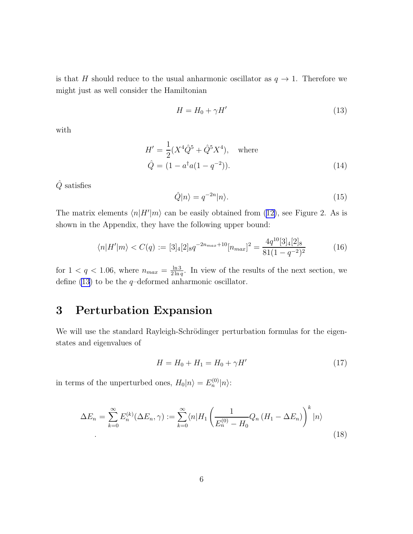<span id="page-5-0"></span>is that H should reduce to the usual anharmonic oscillator as  $q \to 1$ . Therefore we might just as well consider the Hamiltonian

$$
H = H_0 + \gamma H'
$$
\n<sup>(13)</sup>

with

$$
H' = \frac{1}{2}(X^4\hat{Q}^5 + \hat{Q}^5X^4), \text{ where}
$$
  

$$
\hat{Q} = (1 - a^\dagger a(1 - q^{-2})).
$$
 (14)

 $\hat{Q}$  satisfies

$$
\hat{Q}|n\rangle = q^{-2n}|n\rangle.
$$
\n(15)

Thematrix elements  $\langle n|H'|m\rangle$  can be easily obtained from ([12\)](#page-4-0), see Figure 2. As is shown in the Appendix, they have the following upper bound:

$$
\langle n|H'|m\rangle < C(q) := [3]_4[2]_8 q^{-2n_{max}+10} [n_{max}]^2 = \frac{4q^{10}[3]_4[2]_8}{81(1-q^{-2})^2} \tag{16}
$$

for  $1 < q < 1.06$ , where  $n_{max} = \frac{\ln 3}{2 \ln a}$  $\frac{\ln 3}{2 \ln q}$ . In view of the results of the next section, we define (13) to be the  $q$ -deformed anharmonic oscillator.

## 3 Perturbation Expansion

We will use the standard Rayleigh-Schrödinger perturbation formulas for the eigenstates and eigenvalues of

$$
H = H_0 + H_1 = H_0 + \gamma H'
$$
\n(17)

in terms of the unperturbed ones,  $H_0|n\rangle = E_n^{(0)}|n\rangle$ :

$$
\Delta E_n = \sum_{k=0}^{\infty} E_n^{(k)}(\Delta E_n, \gamma) := \sum_{k=0}^{\infty} \langle n | H_1 \left( \frac{1}{E_n^{(0)} - H_0} Q_n (H_1 - \Delta E_n) \right)^k | n \rangle
$$
\n(18)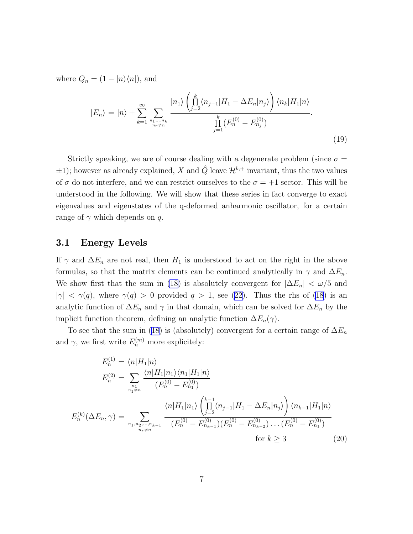<span id="page-6-0"></span>where  $Q_n = (1 - |n\rangle\langle n|)$ , and

$$
|E_n\rangle = |n\rangle + \sum_{k=1}^{\infty} \sum_{\substack{n_1,\dots,n_k \ n_r \neq n}} \frac{|n_1\rangle \left(\prod_{j=2}^k \langle n_{j-1} | H_1 - \Delta E_n | n_j \rangle\right) \langle n_k | H_1 | n \rangle}{\prod_{j=1}^k (E_n^{(0)} - E_{n_j}^{(0)})}.
$$
\n(19)

Strictly speaking, we are of course dealing with a degenerate problem (since  $\sigma =$  $\pm 1$ ); however as already explained, X and  $\hat{Q}$  leave  $\mathcal{H}^{b,+}$  invariant, thus the two values of  $\sigma$  do not interfere, and we can restrict ourselves to the  $\sigma = +1$  sector. This will be understood in the following. We will show that these series in fact converge to exact eigenvalues and eigenstates of the q-deformed anharmonic oscillator, for a certain range of  $\gamma$  which depends on q.

#### 3.1 Energy Levels

If  $\gamma$  and  $\Delta E_n$  are not real, then  $H_1$  is understood to act on the right in the above formulas, so that the matrix elements can be continued analytically in  $\gamma$  and  $\Delta E_n$ . We show first that the sum in [\(18](#page-5-0)) is absolutely convergent for  $|\Delta E_n| < \omega/5$  and  $|\gamma| < \gamma(q)$  $|\gamma| < \gamma(q)$  $|\gamma| < \gamma(q)$ , where  $\gamma(q) > 0$  provided  $q > 1$ , see ([22\)](#page-7-0). Thus the rhs of [\(18](#page-5-0)) is an analytic function of  $\Delta E_n$  and  $\gamma$  in that domain, which can be solved for  $\Delta E_n$  by the implicit function theorem, defining an analytic function  $\Delta E_n(\gamma)$ .

Tosee that the sum in ([18](#page-5-0)) is (absolutely) convergent for a certain range of  $\Delta E_n$ and  $\gamma$ , we first write  $E_n^{(m)}$  more explicitely:

$$
E_n^{(1)} = \langle n | H_1 | n \rangle
$$
  
\n
$$
E_n^{(2)} = \sum_{\substack{n_1 \\ n_1 \neq n}} \frac{\langle n | H_1 | n_1 \rangle \langle n_1 | H_1 | n_1 \rangle}{(E_n^{(0)} - E_{n_1}^{(0)})}
$$
  
\n
$$
E_n^{(k)}(\Delta E_n, \gamma) = \sum_{\substack{n_1, n_2, \dots, n_{k-1} \\ n_r \neq n}} \frac{\langle n | H_1 | n_1 \rangle \left( \prod_{j=2}^{k-1} \langle n_{j-1} | H_1 - \Delta E_n | n_j \rangle \right) \langle n_{k-1} | H_1 | n \rangle}{(E_n^{(0)} - E_{n_{k-1}}^{(0)}) (E_n^{(0)} - E_{n_{k-2}}^{(0)}) \dots (E_n^{(0)} - E_{n_1}^{(0)})}
$$
  
\nfor  $k \ge 3$  (20)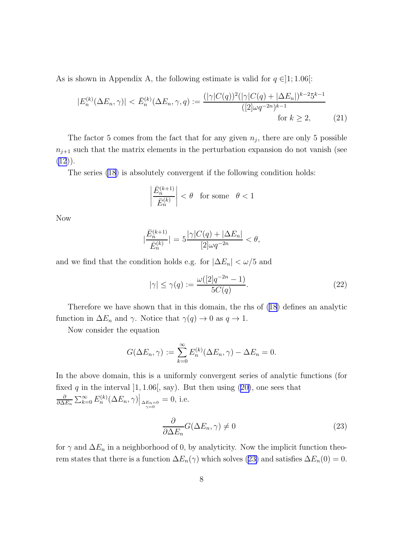<span id="page-7-0"></span>As is shown in Appendix A, the following estimate is valid for  $q \in ]1;1.06[$ :

$$
|E_n^{(k)}(\Delta E_n, \gamma)| < \bar{E}_n^{(k)}(\Delta E_n, \gamma, q) := \frac{(|\gamma| C(q))^2 (|\gamma| C(q) + |\Delta E_n|)^{k-2} 5^{k-1}}{([2] \omega q^{-2n})^{k-1}} \quad \text{for } k \ge 2,\tag{21}
$$

The factor 5 comes from the fact that for any given  $n_j$ , there are only 5 possible  $n_{i+1}$  such that the matrix elements in the perturbation expansion do not vanish (see  $(12)$  $(12)$ .

The series [\(18](#page-5-0)) is absolutely convergent if the following condition holds:

$$
\left| \frac{\bar{E}_n^{(k+1)}}{\bar{E}_n^{(k)}} \right| < \theta \quad \text{for some} \quad \theta < 1
$$

Now

$$
|\frac{\bar{E}_n^{(k+1)}}{\bar{E}_n^{(k)}}| = 5 \frac{|\gamma|C(q) + |\Delta E_n|}{[2]\omega q^{-2n}} < \theta,
$$

and we find that the condition holds e.g. for  $|\Delta E_n| < \omega/5$  and

$$
|\gamma| \le \gamma(q) := \frac{\omega([2]q^{-2n} - 1)}{5C(q)}.\tag{22}
$$

Therefore we have shown that in this domain, the rhs of [\(18\)](#page-5-0) defines an analytic function in  $\Delta E_n$  and  $\gamma$ . Notice that  $\gamma(q) \to 0$  as  $q \to 1$ .

Now consider the equation

$$
G(\Delta E_n, \gamma) := \sum_{k=0}^{\infty} E_n^{(k)}(\Delta E_n, \gamma) - \Delta E_n = 0.
$$

In the above domain, this is a uniformly convergent series of analytic functions (for fixedq in the interval  $]1, 1.06$ , say). But then using  $(20)$  $(20)$ , one sees that ∂  $\frac{\partial}{\partial \Delta E_n} \sum_{k=0}^{\infty} E_n^{(k)}(\Delta E_n, \gamma) \Big|_{\substack{\Delta E_n = 0 \ \gamma = 0}}$  $= 0$ , i.e.

$$
\frac{\partial}{\partial \Delta E_n} G(\Delta E_n, \gamma) \neq 0
$$
\n(23)

for  $\gamma$  and  $\Delta E_n$  in a neighborhood of 0, by analyticity. Now the implicit function theorem states that there is a function  $\Delta E_n(\gamma)$  which solves (23) and satisfies  $\Delta E_n(0) = 0$ .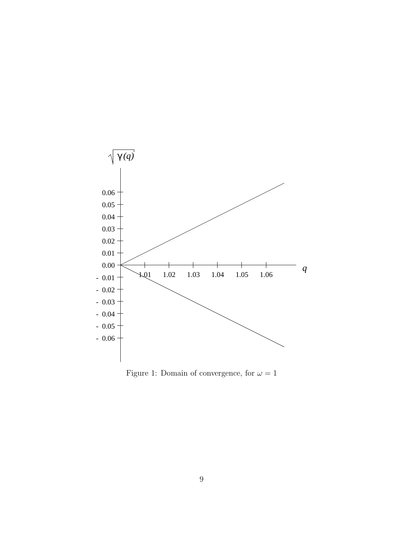

Figure 1: Domain of convergence, for  $\omega=1$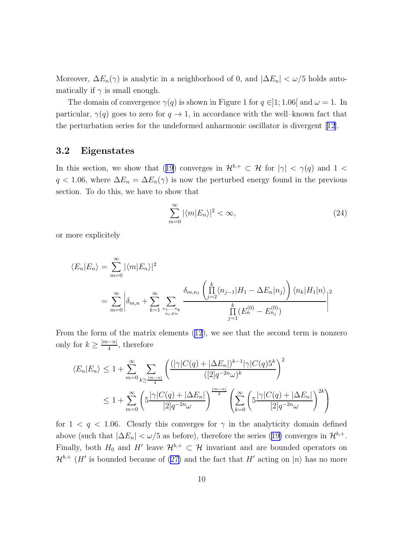Moreover,  $\Delta E_n(\gamma)$  is analytic in a neighborhood of 0, and  $|\Delta E_n| < \omega/5$  holds automatically if  $\gamma$  is small enough.

The domain of convergence  $\gamma(q)$  is shown in Figure 1 for  $q \in ]1;1.06[$  and  $\omega = 1$ . In particular,  $\gamma(q)$  goes to zero for  $q \to 1$ , in accordance with the well–known fact that the perturbation series for the undeformed anharmonic oscillator is divergent [\[12\]](#page-13-0).

#### 3.2 Eigenstates

Inthis section, we show that ([19](#page-6-0)) converges in  $\mathcal{H}^{b,+} \subset \mathcal{H}$  for  $|\gamma| < \gamma(q)$  and  $1 <$  $q < 1.06$ , where  $\Delta E_n = \Delta E_n(\gamma)$  is now the perturbed energy found in the previous section. To do this, we have to show that

$$
\sum_{m=0}^{\infty} |\langle m|E_n \rangle|^2 < \infty,\tag{24}
$$

or more explicitely

$$
\langle E_n | E_n \rangle = \sum_{m=0}^{\infty} |\langle m | E_n \rangle|^2
$$
  
= 
$$
\sum_{m=0}^{\infty} \left| \delta_{m,n} + \sum_{k=1}^{\infty} \sum_{\substack{n_1, \dots, n_k \\ n_r \neq n}} \frac{\delta_{m,n_1} \left( \prod_{j=2}^k \langle n_{j-1} | H_1 - \Delta E_n | n_j \rangle \right) \langle n_k | H_1 | n \rangle}{\prod_{j=1}^k (E_n^{(0)} - E_{n_j}^{(0)})} \right|^2
$$

From the form of the matrix elements([12](#page-4-0)), we see that the second term is nonzero only for  $k \geq \frac{|m-n|}{4}$  $\frac{-n_1}{4}$ , therefore

$$
\langle E_n | E_n \rangle \le 1 + \sum_{m=0}^{\infty} \sum_{k \ge \frac{|m-n|}{4}} \left( \frac{(|\gamma|C(q) + |\Delta E_n|)^{k-1} |\gamma|C(q)5^k}{([2]q^{-2n}\omega)^k} \right)^2
$$
  

$$
\le 1 + \sum_{m=0}^{\infty} \left( 5 \frac{|\gamma|C(q) + |\Delta E_n|}{[2]q^{-2n}\omega} \right)^{\frac{|m-n|}{2}} \left( \sum_{k=0}^{\infty} \left( 5 \frac{|\gamma|C(q) + |\Delta E_n|}{[2]q^{-2n}\omega} \right)^{2k} \right)
$$

for  $1 < q < 1.06$ . Clearly this converges for  $\gamma$  in the analyticity domain defined above(such that  $|\Delta E_n| < \omega/5$  as before), therefore the series ([19\)](#page-6-0) converges in  $\mathcal{H}^{b,+}$ . Finally, both  $H_0$  and  $H'$  leave  $\mathcal{H}^{b,+} \subset \mathcal{H}$  invariant and are bounded operators on  $\mathcal{H}^{b,+}$ (*H'* is bounded because of ([27\)](#page-11-0) and the fact that *H'* acting on  $|n\rangle$  has no more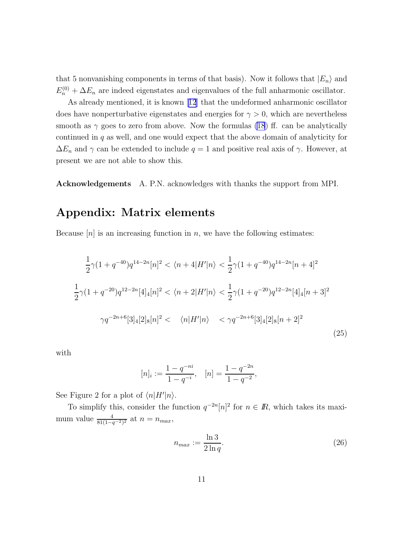that 5 nonvanishing components in terms of that basis). Now it follows that  $|E_n\rangle$  and  $E_n^{(0)} + \Delta E_n$  are indeed eigenstates and eigenvalues of the full anharmonic oscillator.

As already mentioned, it is known[[12](#page-13-0)] that the undeformed anharmonic oscillator does have nonperturbative eigenstates and energies for  $\gamma > 0$ , which are nevertheless smooth as  $\gamma$  goes to zero from above. Now the formulas [\(18](#page-5-0)) ff. can be analytically continued in q as well, and one would expect that the above domain of analyticity for  $\Delta E_n$  and  $\gamma$  can be extended to include  $q=1$  and positive real axis of  $\gamma$ . However, at present we are not able to show this.

Acknowledgements A. P.N. acknowledges with thanks the support from MPI.

## Appendix: Matrix elements

Because  $[n]$  is an increasing function in n, we have the following estimates:

$$
\frac{1}{2}\gamma(1+q^{-40})q^{14-2n}[n]^2 < \langle n+4|H'|n\rangle < \frac{1}{2}\gamma(1+q^{-40})q^{14-2n}[n+4]^2
$$
  

$$
\frac{1}{2}\gamma(1+q^{-20})q^{12-2n}[4]_4[n]^2 < \langle n+2|H'|n\rangle < \frac{1}{2}\gamma(1+q^{-20})q^{12-2n}[4]_4[n+3]^2
$$
  

$$
\gamma q^{-2n+6}[3]_4[2]_8[n]^2 < \langle n|H'|n\rangle < \gamma q^{-2n+6}[3]_4[2]_8[n+2]^2
$$
 (25)

with

$$
[n]_i := \frac{1 - q^{-ni}}{1 - q^{-i}}, \quad [n] = \frac{1 - q^{-2n}}{1 - q^{-2}},
$$

See Figure 2 for a plot of  $\langle n|H'|n\rangle$ .

To simplify this, consider the function  $q^{-2n}$  [n]<sup>2</sup> for  $n \in \mathbb{R}$ , which takes its maximum value  $\frac{4}{81(1-q^{-2})^2}$  at  $n = n_{max}$ ,

$$
n_{max} := \frac{\ln 3}{2 \ln q}.\tag{26}
$$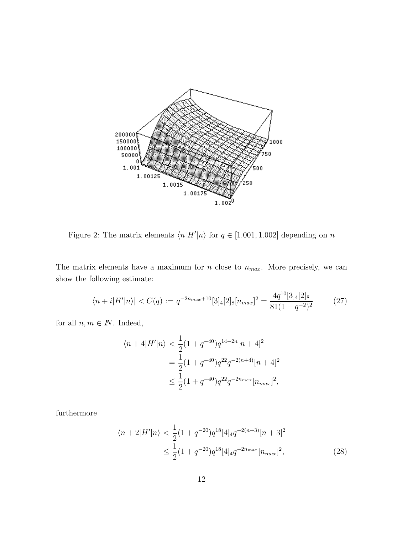<span id="page-11-0"></span>

Figure 2: The matrix elements  $\langle n|H'|n\rangle$  for  $q \in [1.001, 1.002]$  depending on n

The matrix elements have a maximum for  $n$  close to  $n_{max}$ . More precisely, we can show the following estimate:

$$
|\langle n+i|H'|n\rangle| < C(q) := q^{-2n_{max}+10}[3]_4[2]_8[n_{max}]^2 = \frac{4q^{10}[3]_4[2]_8}{81(1-q^{-2})^2}
$$
(27)

for all  $n, m \in \mathbb{N}$ . Indeed,

$$
\langle n+4|H'|n \rangle < \frac{1}{2}(1+q^{-40})q^{14-2n}[n+4]^2
$$
\n
$$
= \frac{1}{2}(1+q^{-40})q^{22}q^{-2(n+4)}[n+4]^2
$$
\n
$$
\leq \frac{1}{2}(1+q^{-40})q^{22}q^{-2n_{max}}[n_{max}]^2,
$$

furthermore

$$
\langle n+2|H'|n\rangle < \frac{1}{2}(1+q^{-20})q^{18}[4]_4 q^{-2(n+3)}[n+3]^2
$$
\n
$$
\leq \frac{1}{2}(1+q^{-20})q^{18}[4]_4 q^{-2n_{max}}[n_{max}]^2,\tag{28}
$$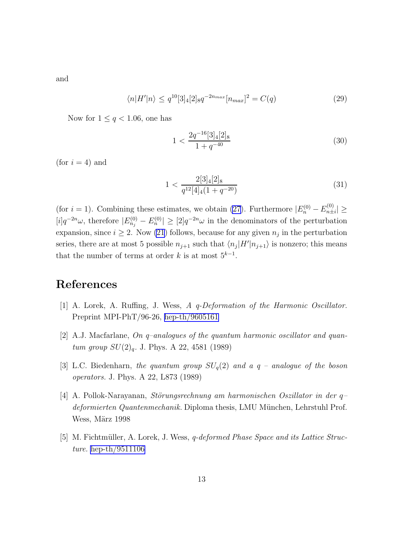<span id="page-12-0"></span>and

$$
\langle n|H'|n\rangle \le q^{10}[3]_4[2]_8 q^{-2n_{max}}[n_{max}]^2 = C(q)
$$
\n(29)

Now for  $1 \leq q < 1.06$ , one has

$$
1 < \frac{2q^{-16}[3]_4[2]_8}{1 + q^{-40}} \tag{30}
$$

(for  $i = 4$ ) and

$$
1 < \frac{2[3]_4[2]_8}{q^{12}[4]_4(1+q^{-20})} \tag{31}
$$

(for  $i = 1$ ). Combining these estimates, we obtain [\(27\)](#page-11-0). Furthermore  $|E_n^{(0)} - E_{n\pm}^{(0)}|$  $|\hat{n} \pm i|$   $\geq$  $[i]q^{-2n}\omega$ , therefore  $|E_{n_j}^{(0)} - E_n^{(0)}| \geq [2]q^{-2n}\omega$  in the denominators of the perturbation expansion, since  $i \geq 2$ . Now [\(21](#page-7-0)) follows, because for any given  $n_j$  in the perturbation series, there are at most 5 possible  $n_{j+1}$  such that  $\langle n_j | H' | n_{j+1} \rangle$  is nonzero; this means that the number of terms at order k is at most  $5^{k-1}$ .

## References

- [1] A. Lorek, A. Ruffing, J. Wess, A q-Deformation of the Harmonic Oscillator. Preprint MPI-PhT/96-26, [hep-th/9605161](http://arxiv.org/abs/hep-th/9605161)
- [2] A.J. Macfarlane, On q–analogues of the quantum harmonic oscillator and quantum group  $SU(2)_{q}$ . J. Phys. A 22, 4581 (1989)
- [3] L.C. Biedenharn, the quantum group  $SU_q(2)$  and a q analogue of the boson operators. J. Phys. A 22, L873 (1989)
- [4] A. Pollok-Narayanan, Störungsrechnung am harmonischen Oszillator in der  $q$ deformierten Quantenmechanik. Diploma thesis, LMU München, Lehrstuhl Prof. Wess, März 1998
- [5] M. Fichtmüller, A. Lorek, J. Wess, q-deformed Phase Space and its Lattice Structure. [hep-th/9511106](http://arxiv.org/abs/hep-th/9511106)